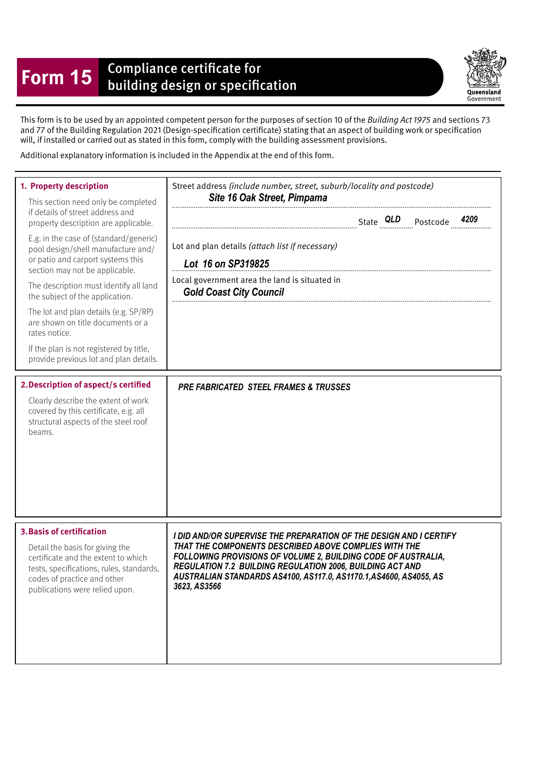## **Form 15** Compliance certificate for<br>building design or specification

Queensland Government

This form is to be used by an appointed competent person for the purposes of section 10 of the Building Act 1975 and sections 73 and 77 of the Building Regulation 2021 (Design-specifcation certifcate) stating that an aspect of building work or specifcation will, if installed or carried out as stated in this form, comply with the building assessment provisions.

Additional explanatory information is included in the Appendix at the end of this form.

| 1. Property description<br>This section need only be completed<br>if details of street address and<br>property description are applicable.<br>E.g. in the case of (standard/generic)<br>pool design/shell manufacture and/<br>or patio and carport systems this<br>section may not be applicable.<br>The description must identify all land<br>the subject of the application.<br>The lot and plan details (e.g. SP/RP)<br>are shown on title documents or a<br>rates notice.<br>If the plan is not registered by title,<br>provide previous lot and plan details.<br>2. Description of aspect/s certified<br>Clearly describe the extent of work<br>covered by this certificate, e.g. all<br>structural aspects of the steel roof<br>beams. | Street address (include number, street, suburb/locality and postcode)<br>Site 16 Oak Street, Pimpama<br>Lot and plan details (attach list if necessary)<br>Lot 16 on SP319825<br>Local government area the land is situated in<br><b>Gold Coast City Council</b><br><b>PRE FABRICATED STEEL FRAMES &amp; TRUSSES</b>                           |
|----------------------------------------------------------------------------------------------------------------------------------------------------------------------------------------------------------------------------------------------------------------------------------------------------------------------------------------------------------------------------------------------------------------------------------------------------------------------------------------------------------------------------------------------------------------------------------------------------------------------------------------------------------------------------------------------------------------------------------------------|------------------------------------------------------------------------------------------------------------------------------------------------------------------------------------------------------------------------------------------------------------------------------------------------------------------------------------------------|
|                                                                                                                                                                                                                                                                                                                                                                                                                                                                                                                                                                                                                                                                                                                                              |                                                                                                                                                                                                                                                                                                                                                |
| <b>3. Basis of certification</b><br>Detail the basis for giving the<br>certificate and the extent to which<br>tests, specifications, rules, standards,<br>codes of practice and other<br>publications were relied upon.                                                                                                                                                                                                                                                                                                                                                                                                                                                                                                                      | I DID AND/OR SUPERVISE THE PREPARATION OF THE DESIGN AND I CERTIFY<br>THAT THE COMPONENTS DESCRIBED ABOVE COMPLIES WITH THE<br>FOLLOWING PROVISIONS OF VOLUME 2, BUILDING CODE OF AUSTRALIA,<br>REGULATION 7.2 BUILDING REGULATION 2006, BUILDING ACT AND<br>AUSTRALIAN STANDARDS AS4100, AS117.0, AS1170.1,AS4600, AS4055, AS<br>3623, AS3566 |